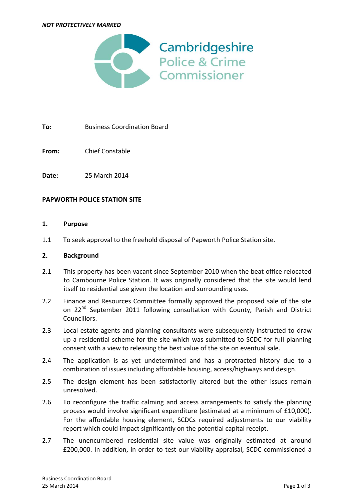

**To:** Business Coordination Board

**From:** Chief Constable

**Date:** 25 March 2014

### **PAPWORTH POLICE STATION SITE**

#### **1. Purpose**

1.1 To seek approval to the freehold disposal of Papworth Police Station site.

#### **2. Background**

- 2.1 This property has been vacant since September 2010 when the beat office relocated to Cambourne Police Station. It was originally considered that the site would lend itself to residential use given the location and surrounding uses.
- 2.2 Finance and Resources Committee formally approved the proposed sale of the site on 22<sup>nd</sup> September 2011 following consultation with County, Parish and District Councillors.
- 2.3 Local estate agents and planning consultants were subsequently instructed to draw up a residential scheme for the site which was submitted to SCDC for full planning consent with a view to releasing the best value of the site on eventual sale.
- 2.4 The application is as yet undetermined and has a protracted history due to a combination of issues including affordable housing, access/highways and design.
- 2.5 The design element has been satisfactorily altered but the other issues remain unresolved.
- 2.6 To reconfigure the traffic calming and access arrangements to satisfy the planning process would involve significant expenditure (estimated at a minimum of £10,000). For the affordable housing element, SCDCs required adjustments to our viability report which could impact significantly on the potential capital receipt.
- 2.7 The unencumbered residential site value was originally estimated at around £200,000. In addition, in order to test our viability appraisal, SCDC commissioned a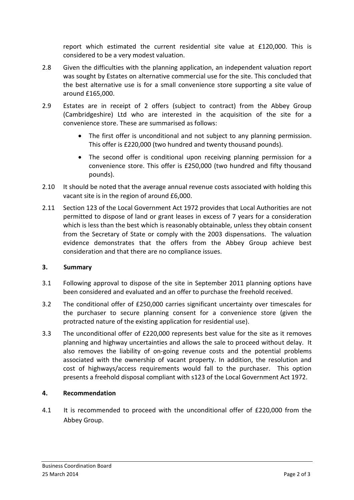report which estimated the current residential site value at £120,000. This is considered to be a very modest valuation.

- 2.8 Given the difficulties with the planning application, an independent valuation report was sought by Estates on alternative commercial use for the site. This concluded that the best alternative use is for a small convenience store supporting a site value of around £165,000.
- 2.9 Estates are in receipt of 2 offers (subject to contract) from the Abbey Group (Cambridgeshire) Ltd who are interested in the acquisition of the site for a convenience store. These are summarised as follows:
	- The first offer is unconditional and not subject to any planning permission. This offer is £220,000 (two hundred and twenty thousand pounds).
	- The second offer is conditional upon receiving planning permission for a convenience store. This offer is £250,000 (two hundred and fifty thousand pounds).
- 2.10 It should be noted that the average annual revenue costs associated with holding this vacant site is in the region of around £6,000.
- 2.11 Section 123 of the Local Government Act 1972 provides that Local Authorities are not permitted to dispose of land or grant leases in excess of 7 years for a consideration which is less than the best which is reasonably obtainable, unless they obtain consent from the Secretary of State or comply with the 2003 dispensations. The valuation evidence demonstrates that the offers from the Abbey Group achieve best consideration and that there are no compliance issues.

## **3. Summary**

- 3.1 Following approval to dispose of the site in September 2011 planning options have been considered and evaluated and an offer to purchase the freehold received.
- 3.2 The conditional offer of £250,000 carries significant uncertainty over timescales for the purchaser to secure planning consent for a convenience store (given the protracted nature of the existing application for residential use).
- 3.3 The unconditional offer of £220,000 represents best value for the site as it removes planning and highway uncertainties and allows the sale to proceed without delay. It also removes the liability of on-going revenue costs and the potential problems associated with the ownership of vacant property. In addition, the resolution and cost of highways/access requirements would fall to the purchaser. This option presents a freehold disposal compliant with s123 of the Local Government Act 1972.

## **4. Recommendation**

4.1 It is recommended to proceed with the unconditional offer of £220,000 from the Abbey Group.